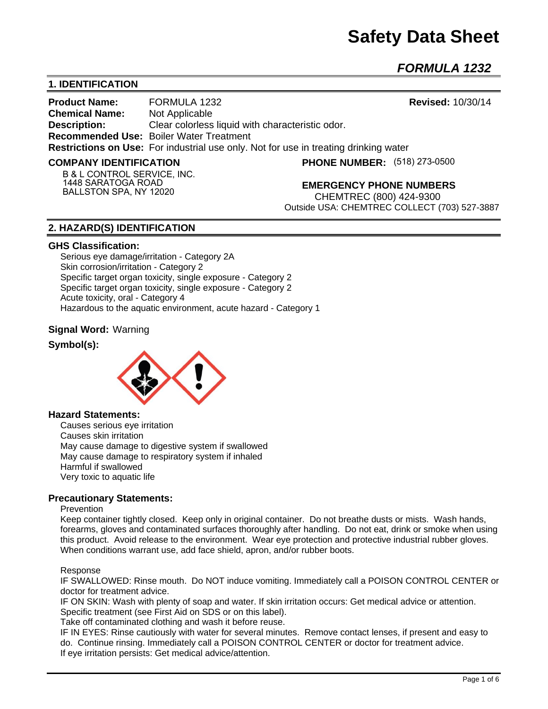# **Safety Data Sheet**

*FORMULA 1232* 

# **1. IDENTIFICATION**

**Product Name:** FORMULA 1232 **Revised:** 10/30/14 **Chemical Name:** Not Applicable **Description:** Clear colorless liquid with characteristic odor. **Recommended Use:** Boiler Water Treatment **Restrictions on Use:** For industrial use only. Not for use in treating drinking water

#### **COMPANY IDENTIFICATION**

**(518) 273-0500**

**B & L CONTROL SERVICE, INC. 1448 SARATOGA ROAD BALLSTON SPA, NY 12020**

**EMERGENCY PHONE NUMBERS**

CHEMTREC (800) 424-9300 Outside USA: CHEMTREC COLLECT (703) 527-3887

# **2. HAZARD(S) IDENTIFICATION**

#### **GHS Classification:**

Serious eye damage/irritation - Category 2A Skin corrosion/irritation - Category 2 Specific target organ toxicity, single exposure - Category 2 Specific target organ toxicity, single exposure - Category 2 Acute toxicity, oral - Category 4 Hazardous to the aquatic environment, acute hazard - Category 1

## **Signal Word:** Warning

## **Symbol(s):**



## **Hazard Statements:**

Causes serious eye irritation Causes skin irritation May cause damage to digestive system if swallowed May cause damage to respiratory system if inhaled Harmful if swallowed Very toxic to aquatic life

## **Precautionary Statements:**

#### **Prevention**

Keep container tightly closed. Keep only in original container. Do not breathe dusts or mists. Wash hands, forearms, gloves and contaminated surfaces thoroughly after handling. Do not eat, drink or smoke when using this product. Avoid release to the environment. Wear eye protection and protective industrial rubber gloves. When conditions warrant use, add face shield, apron, and/or rubber boots.

#### Response

IF SWALLOWED: Rinse mouth. Do NOT induce vomiting. Immediately call a POISON CONTROL CENTER or doctor for treatment advice.

IF ON SKIN: Wash with plenty of soap and water. If skin irritation occurs: Get medical advice or attention. Specific treatment (see First Aid on SDS or on this label).

Take off contaminated clothing and wash it before reuse.

IF IN EYES: Rinse cautiously with water for several minutes. Remove contact lenses, if present and easy to do. Continue rinsing. Immediately call a POISON CONTROL CENTER or doctor for treatment advice. If eye irritation persists: Get medical advice/attention.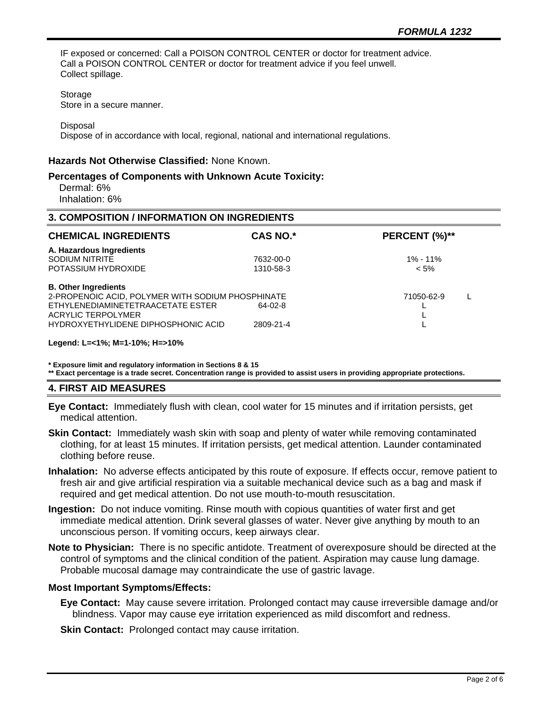IF exposed or concerned: Call a POISON CONTROL CENTER or doctor for treatment advice. Call a POISON CONTROL CENTER or doctor for treatment advice if you feel unwell. Collect spillage.

Storage

Store in a secure manner.

**Disposal** 

Dispose of in accordance with local, regional, national and international regulations.

#### **Hazards Not Otherwise Classified:** None Known.

#### **Percentages of Components with Unknown Acute Toxicity:**

 Dermal: 6% Inhalation: 6%

#### **3. COMPOSITION / INFORMATION ON INGREDIENTS**

| <b>CHEMICAL INGREDIENTS</b>                                                                                                                                                                                       | <b>CAS NO.*</b>        | PERCENT (%)**           |
|-------------------------------------------------------------------------------------------------------------------------------------------------------------------------------------------------------------------|------------------------|-------------------------|
| A. Hazardous Ingredients<br>SODIUM NITRITE<br>POTASSIUM HYDROXIDE                                                                                                                                                 | 7632-00-0<br>1310-58-3 | $1\% - 11\%$<br>$< 5\%$ |
| <b>B. Other Ingredients</b><br>2-PROPENOIC ACID, POLYMER WITH SODIUM PHOSPHINATE<br>ETHYLENEDIAMINETETRAACETATE ESTER<br>64-02-8<br><b>ACRYLIC TERPOLYMER</b><br>HYDROXYETHYLIDENE DIPHOSPHONIC ACID<br>2809-21-4 |                        | 71050-62-9              |

#### **Legend: L=<1%; M=1-10%; H=>10%**

**\* Exposure limit and regulatory information in Sections 8 & 15**

**\*\* Exact percentage is a trade secret. Concentration range is provided to assist users in providing appropriate protections.**

## **4. FIRST AID MEASURES**

**Eye Contact:** Immediately flush with clean, cool water for 15 minutes and if irritation persists, get medical attention.

**Skin Contact:** Immediately wash skin with soap and plenty of water while removing contaminated clothing, for at least 15 minutes. If irritation persists, get medical attention. Launder contaminated clothing before reuse.

**Inhalation:** No adverse effects anticipated by this route of exposure. If effects occur, remove patient to fresh air and give artificial respiration via a suitable mechanical device such as a bag and mask if required and get medical attention. Do not use mouth-to-mouth resuscitation.

**Ingestion:** Do not induce vomiting. Rinse mouth with copious quantities of water first and get immediate medical attention. Drink several glasses of water. Never give anything by mouth to an unconscious person. If vomiting occurs, keep airways clear.

**Note to Physician:** There is no specific antidote. Treatment of overexposure should be directed at the control of symptoms and the clinical condition of the patient. Aspiration may cause lung damage. Probable mucosal damage may contraindicate the use of gastric lavage.

## **Most Important Symptoms/Effects:**

**Eye Contact:** May cause severe irritation. Prolonged contact may cause irreversible damage and/or blindness. Vapor may cause eye irritation experienced as mild discomfort and redness.

**Skin Contact:** Prolonged contact may cause irritation.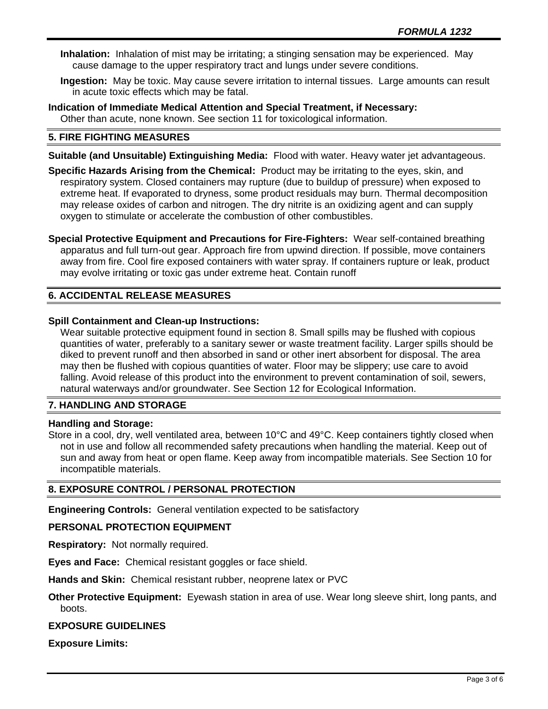- **Inhalation:** Inhalation of mist may be irritating; a stinging sensation may be experienced. May cause damage to the upper respiratory tract and lungs under severe conditions.
- **Ingestion:** May be toxic. May cause severe irritation to internal tissues. Large amounts can result in acute toxic effects which may be fatal.

**Indication of Immediate Medical Attention and Special Treatment, if Necessary:** Other than acute, none known. See section 11 for toxicological information.

# **5. FIRE FIGHTING MEASURES**

**Suitable (and Unsuitable) Extinguishing Media:** Flood with water. Heavy water jet advantageous.

**Specific Hazards Arising from the Chemical:** Product may be irritating to the eyes, skin, and respiratory system. Closed containers may rupture (due to buildup of pressure) when exposed to extreme heat. If evaporated to dryness, some product residuals may burn. Thermal decomposition may release oxides of carbon and nitrogen. The dry nitrite is an oxidizing agent and can supply oxygen to stimulate or accelerate the combustion of other combustibles.

**Special Protective Equipment and Precautions for Fire-Fighters:** Wear self-contained breathing apparatus and full turn-out gear. Approach fire from upwind direction. If possible, move containers away from fire. Cool fire exposed containers with water spray. If containers rupture or leak, product may evolve irritating or toxic gas under extreme heat. Contain runoff

# **6. ACCIDENTAL RELEASE MEASURES**

#### **Spill Containment and Clean-up Instructions:**

Wear suitable protective equipment found in section 8. Small spills may be flushed with copious quantities of water, preferably to a sanitary sewer or waste treatment facility. Larger spills should be diked to prevent runoff and then absorbed in sand or other inert absorbent for disposal. The area may then be flushed with copious quantities of water. Floor may be slippery; use care to avoid falling. Avoid release of this product into the environment to prevent contamination of soil, sewers, natural waterways and/or groundwater. See Section 12 for Ecological Information.

## **7. HANDLING AND STORAGE**

## **Handling and Storage:**

Store in a cool, dry, well ventilated area, between 10°C and 49°C. Keep containers tightly closed when not in use and follow all recommended safety precautions when handling the material. Keep out of sun and away from heat or open flame. Keep away from incompatible materials. See Section 10 for incompatible materials.

## **8. EXPOSURE CONTROL / PERSONAL PROTECTION**

**Engineering Controls:** General ventilation expected to be satisfactory

## **PERSONAL PROTECTION EQUIPMENT**

**Respiratory:** Not normally required.

**Eyes and Face:** Chemical resistant goggles or face shield.

**Hands and Skin:** Chemical resistant rubber, neoprene latex or PVC

# **Other Protective Equipment:** Eyewash station in area of use. Wear long sleeve shirt, long pants, and boots.

## **EXPOSURE GUIDELINES**

**Exposure Limits:**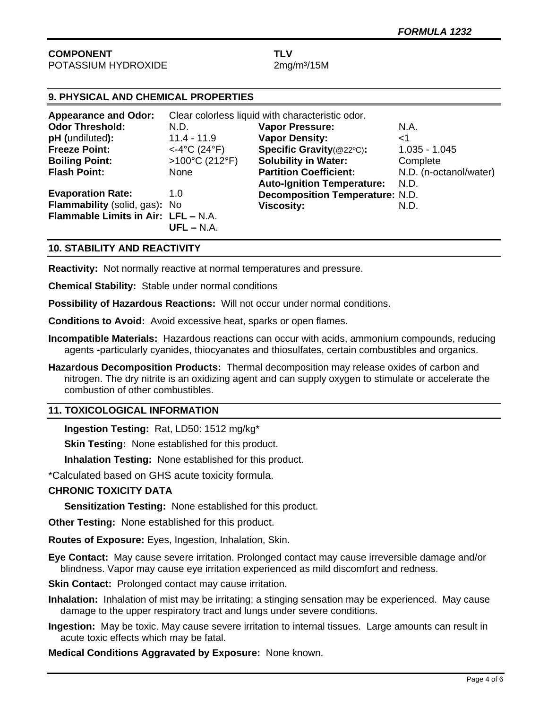## **COMPONENT TLV** POTASSIUM HYDROXIDE 2mg/m<sup>3</sup>/15M

# **9. PHYSICAL AND CHEMICAL PROPERTIES**

| <b>Appearance and Odor:</b>         | Clear colorless liquid with characteristic odor. |                                        |                        |
|-------------------------------------|--------------------------------------------------|----------------------------------------|------------------------|
| <b>Odor Threshold:</b>              | N.D.                                             | <b>Vapor Pressure:</b>                 | N.A.                   |
| pH (undiluted):                     | $11.4 - 11.9$                                    | <b>Vapor Density:</b>                  | ا>                     |
| <b>Freeze Point:</b>                | $<$ -4°C (24°F)                                  | Specific Gravity(@22°C):               | $1.035 - 1.045$        |
| <b>Boiling Point:</b>               | >100°C (212°F)                                   | <b>Solubility in Water:</b>            | Complete               |
| <b>Flash Point:</b>                 | None                                             | <b>Partition Coefficient:</b>          | N.D. (n-octanol/water) |
|                                     |                                                  | <b>Auto-Ignition Temperature:</b>      | N.D.                   |
| <b>Evaporation Rate:</b>            | 1.0                                              | <b>Decomposition Temperature: N.D.</b> |                        |
| Flammability (solid, gas): No       |                                                  | <b>Viscosity:</b>                      | N.D.                   |
| Flammable Limits in Air: LFL - N.A. |                                                  |                                        |                        |
|                                     | $UFL - N.A.$                                     |                                        |                        |

# **10. STABILITY AND REACTIVITY**

**Reactivity:** Not normally reactive at normal temperatures and pressure.

**Chemical Stability:** Stable under normal conditions

**Possibility of Hazardous Reactions:** Will not occur under normal conditions.

**Conditions to Avoid:** Avoid excessive heat, sparks or open flames.

- **Incompatible Materials:** Hazardous reactions can occur with acids, ammonium compounds, reducing agents -particularly cyanides, thiocyanates and thiosulfates, certain combustibles and organics.
- **Hazardous Decomposition Products:** Thermal decomposition may release oxides of carbon and nitrogen. The dry nitrite is an oxidizing agent and can supply oxygen to stimulate or accelerate the combustion of other combustibles.

## **11. TOXICOLOGICAL INFORMATION**

**Ingestion Testing:** Rat, LD50: 1512 mg/kg\*

**Skin Testing:** None established for this product.

**Inhalation Testing:** None established for this product.

\*Calculated based on GHS acute toxicity formula.

## **CHRONIC TOXICITY DATA**

**Sensitization Testing:** None established for this product.

**Other Testing:** None established for this product.

**Routes of Exposure:** Eyes, Ingestion, Inhalation, Skin.

**Eye Contact:** May cause severe irritation. Prolonged contact may cause irreversible damage and/or blindness. Vapor may cause eye irritation experienced as mild discomfort and redness.

**Skin Contact:** Prolonged contact may cause irritation.

**Inhalation:** Inhalation of mist may be irritating; a stinging sensation may be experienced. May cause damage to the upper respiratory tract and lungs under severe conditions.

**Ingestion:** May be toxic. May cause severe irritation to internal tissues. Large amounts can result in acute toxic effects which may be fatal.

**Medical Conditions Aggravated by Exposure:** None known.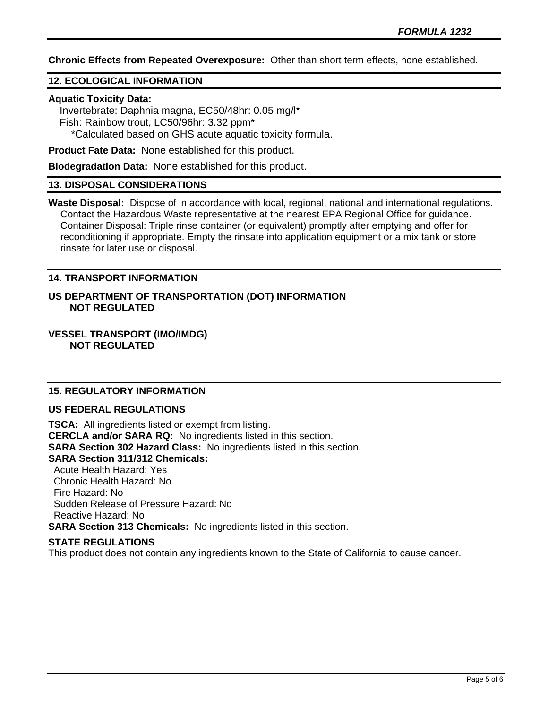**Chronic Effects from Repeated Overexposure:** Other than short term effects, none established.

# **12. ECOLOGICAL INFORMATION**

## **Aquatic Toxicity Data:**

 Invertebrate: Daphnia magna, EC50/48hr: 0.05 mg/l\* Fish: Rainbow trout, LC50/96hr: 3.32 ppm\* \*Calculated based on GHS acute aquatic toxicity formula.

**Product Fate Data:** None established for this product.

**Biodegradation Data:** None established for this product.

# **13. DISPOSAL CONSIDERATIONS**

**Waste Disposal:** Dispose of in accordance with local, regional, national and international regulations. Contact the Hazardous Waste representative at the nearest EPA Regional Office for guidance. Container Disposal: Triple rinse container (or equivalent) promptly after emptying and offer for reconditioning if appropriate. Empty the rinsate into application equipment or a mix tank or store rinsate for later use or disposal.

# **14. TRANSPORT INFORMATION**

## **US DEPARTMENT OF TRANSPORTATION (DOT) INFORMATION NOT REGULATED**

**VESSEL TRANSPORT (IMO/IMDG) NOT REGULATED**

# **15. REGULATORY INFORMATION**

# **US FEDERAL REGULATIONS**

**TSCA:** All ingredients listed or exempt from listing. **CERCLA and/or SARA RQ:** No ingredients listed in this section. **SARA Section 302 Hazard Class:** No ingredients listed in this section. **SARA Section 311/312 Chemicals:**  Acute Health Hazard: Yes Chronic Health Hazard: No Fire Hazard: No Sudden Release of Pressure Hazard: No Reactive Hazard: No **SARA Section 313 Chemicals:** No ingredients listed in this section.

## **STATE REGULATIONS**

This product does not contain any ingredients known to the State of California to cause cancer.